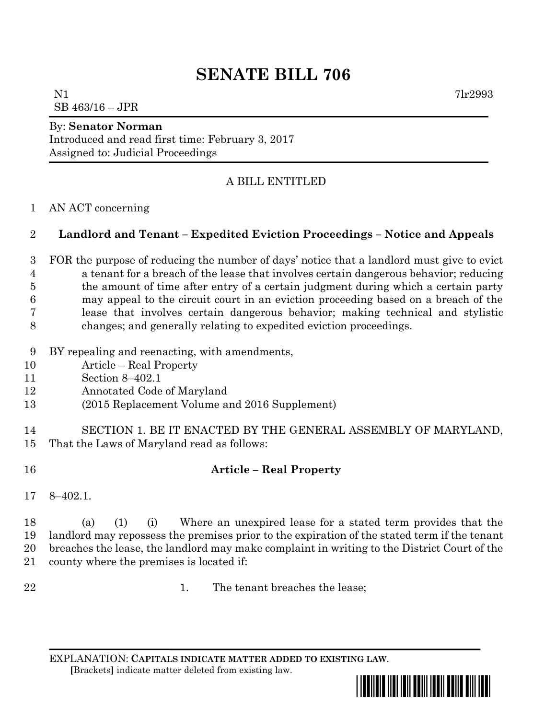# **SENATE BILL 706**

 $N1$   $7lr2993$ SB 463/16 – JPR

## By: **Senator Norman**

Introduced and read first time: February 3, 2017 Assigned to: Judicial Proceedings

# A BILL ENTITLED

## AN ACT concerning

# **Landlord and Tenant – Expedited Eviction Proceedings – Notice and Appeals**

 FOR the purpose of reducing the number of days' notice that a landlord must give to evict a tenant for a breach of the lease that involves certain dangerous behavior; reducing the amount of time after entry of a certain judgment during which a certain party may appeal to the circuit court in an eviction proceeding based on a breach of the lease that involves certain dangerous behavior; making technical and stylistic changes; and generally relating to expedited eviction proceedings.

- BY repealing and reenacting, with amendments,
- Article Real Property
- Section 8–402.1
- Annotated Code of Maryland
- (2015 Replacement Volume and 2016 Supplement)

 SECTION 1. BE IT ENACTED BY THE GENERAL ASSEMBLY OF MARYLAND, That the Laws of Maryland read as follows:

- **Article – Real Property**
- 8–402.1.

 (a) (1) (i) Where an unexpired lease for a stated term provides that the landlord may repossess the premises prior to the expiration of the stated term if the tenant breaches the lease, the landlord may make complaint in writing to the District Court of the county where the premises is located if:

- 
- 22 1. The tenant breaches the lease;

EXPLANATION: **CAPITALS INDICATE MATTER ADDED TO EXISTING LAW**.  **[**Brackets**]** indicate matter deleted from existing law.

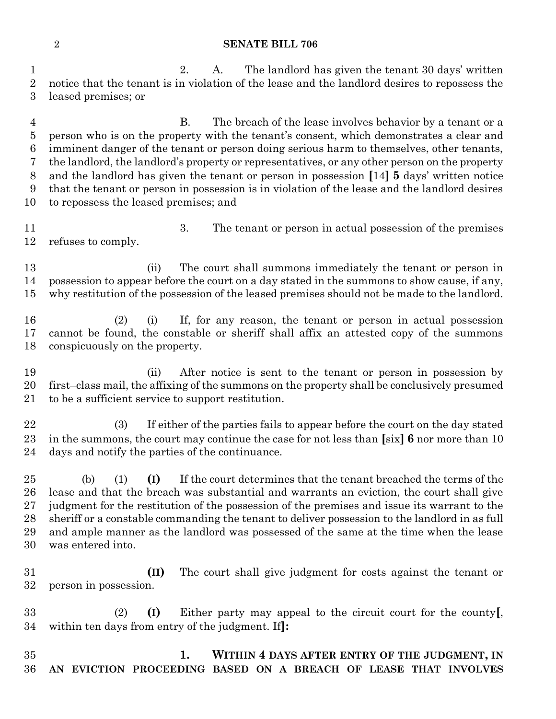#### **SENATE BILL 706**

 2. A. The landlord has given the tenant 30 days' written notice that the tenant is in violation of the lease and the landlord desires to repossess the leased premises; or

 B. The breach of the lease involves behavior by a tenant or a person who is on the property with the tenant's consent, which demonstrates a clear and imminent danger of the tenant or person doing serious harm to themselves, other tenants, the landlord, the landlord's property or representatives, or any other person on the property and the landlord has given the tenant or person in possession **[**14**] 5** days' written notice that the tenant or person in possession is in violation of the lease and the landlord desires to repossess the leased premises; and

 3. The tenant or person in actual possession of the premises refuses to comply.

 (ii) The court shall summons immediately the tenant or person in possession to appear before the court on a day stated in the summons to show cause, if any, why restitution of the possession of the leased premises should not be made to the landlord.

 (2) (i) If, for any reason, the tenant or person in actual possession cannot be found, the constable or sheriff shall affix an attested copy of the summons conspicuously on the property.

 (ii) After notice is sent to the tenant or person in possession by first–class mail, the affixing of the summons on the property shall be conclusively presumed to be a sufficient service to support restitution.

 (3) If either of the parties fails to appear before the court on the day stated in the summons, the court may continue the case for not less than **[**six**] 6** nor more than 10 days and notify the parties of the continuance.

 (b) (1) **(I)** If the court determines that the tenant breached the terms of the lease and that the breach was substantial and warrants an eviction, the court shall give judgment for the restitution of the possession of the premises and issue its warrant to the sheriff or a constable commanding the tenant to deliver possession to the landlord in as full and ample manner as the landlord was possessed of the same at the time when the lease was entered into.

 **(II)** The court shall give judgment for costs against the tenant or person in possession.

 (2) **(I)** Either party may appeal to the circuit court for the county**[**, within ten days from entry of the judgment. If**]:**

 **1. WITHIN 4 DAYS AFTER ENTRY OF THE JUDGMENT, IN AN EVICTION PROCEEDING BASED ON A BREACH OF LEASE THAT INVOLVES**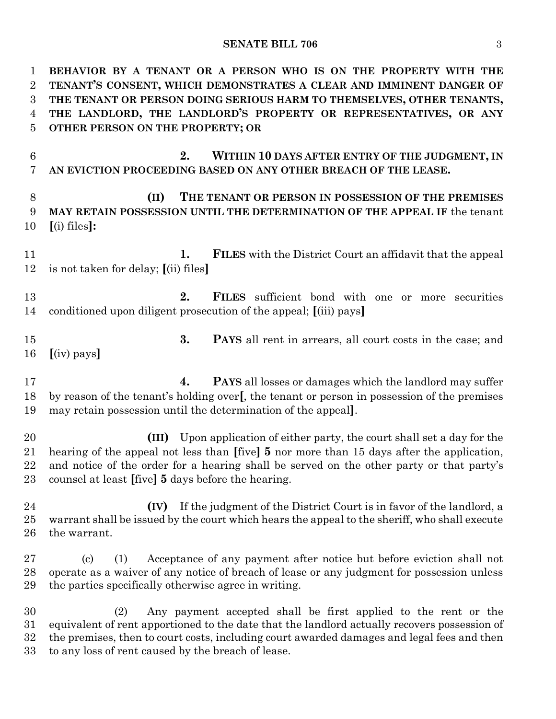## **SENATE BILL 706** 3

| 1<br>$\overline{2}$<br>3<br>$\overline{4}$<br>$\overline{5}$ | BEHAVIOR BY A TENANT OR A PERSON WHO IS ON THE PROPERTY WITH THE<br>TENANT'S CONSENT, WHICH DEMONSTRATES A CLEAR AND IMMINENT DANGER OF<br>THE TENANT OR PERSON DOING SERIOUS HARM TO THEMSELVES, OTHER TENANTS,<br>THE LANDLORD, THE LANDLORD'S PROPERTY OR REPRESENTATIVES, OR ANY<br>OTHER PERSON ON THE PROPERTY; OR    |
|--------------------------------------------------------------|-----------------------------------------------------------------------------------------------------------------------------------------------------------------------------------------------------------------------------------------------------------------------------------------------------------------------------|
| 6<br>7                                                       | 2.<br>WITHIN 10 DAYS AFTER ENTRY OF THE JUDGMENT, IN<br>AN EVICTION PROCEEDING BASED ON ANY OTHER BREACH OF THE LEASE.                                                                                                                                                                                                      |
| $8\,$<br>9<br>10                                             | (II)<br>THE TENANT OR PERSON IN POSSESSION OF THE PREMISES<br>MAY RETAIN POSSESSION UNTIL THE DETERMINATION OF THE APPEAL IF the tenant<br>$(i)$ files]:                                                                                                                                                                    |
| 11<br>12                                                     | <b>FILES</b> with the District Court an affidavit that the appeal<br>1.<br>is not taken for delay; $(iii)$ files                                                                                                                                                                                                            |
| 13<br>14                                                     | 2.<br><b>FILES</b> sufficient bond with one or more securities<br>conditioned upon diligent prosecution of the appeal; [(iii) pays]                                                                                                                                                                                         |
| 15<br>16                                                     | 3.<br><b>PAYS</b> all rent in arrears, all court costs in the case; and<br>$(iv)$ pays                                                                                                                                                                                                                                      |
| 17<br>18<br>19                                               | <b>PAYS</b> all losses or damages which the landlord may suffer<br>4.<br>by reason of the tenant's holding over[, the tenant or person in possession of the premises<br>may retain possession until the determination of the appeal.                                                                                        |
| 20<br>21<br>22<br>23                                         | Upon application of either party, the court shall set a day for the<br>(III)<br>hearing of the appeal not less than [five] 5 nor more than 15 days after the application,<br>and notice of the order for a hearing shall be served on the other party or that party's<br>counsel at least [five] 5 days before the hearing. |
| 24<br>25<br>26                                               | If the judgment of the District Court is in favor of the landlord, a<br>(IV)<br>warrant shall be issued by the court which hears the appeal to the sheriff, who shall execute<br>the warrant.                                                                                                                               |
| 27<br>28<br>29                                               | Acceptance of any payment after notice but before eviction shall not<br>$\left( \mathrm{c} \right)$<br>(1)<br>operate as a waiver of any notice of breach of lease or any judgment for possession unless<br>the parties specifically otherwise agree in writing.                                                            |
| 30<br>31<br>32<br>33                                         | Any payment accepted shall be first applied to the rent or the<br>(2)<br>equivalent of rent apportioned to the date that the landlord actually recovers possession of<br>the premises, then to court costs, including court awarded damages and legal fees and then<br>to any loss of rent caused by the breach of lease.   |